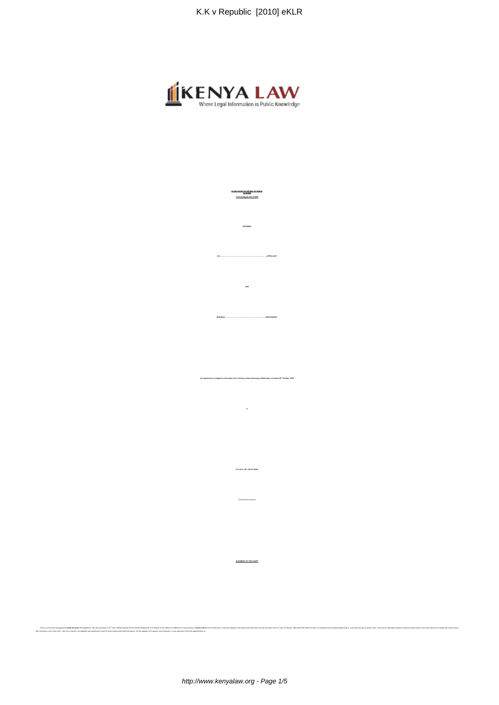

**IN THE COURT OF APPEAL OF KENYA**

**BETWEEN**

**K.K………………………………………………………….……..………APPELLANT**

**REPUBLIC …………………………………………………..……….…RESPONDENT**

**in**

**H.C.CR.A. NO. 199 OF 2006)**

**\*\*\*\*\*\*\*\*\*\*\*\*\*\*\*\*\*\*\*\*\*\*\*\*\*\*\***

**JUDGMENT OF THE COURT**

The main of the community and the community of the community of the community of the community of the community of the community of the community of the community of the community of the community of the community of the c

**(An Appeal from a judgment of the High Court of Kenya at Nyeri (Kasango & Makhandia, JJ.) dated 28th October, 2008**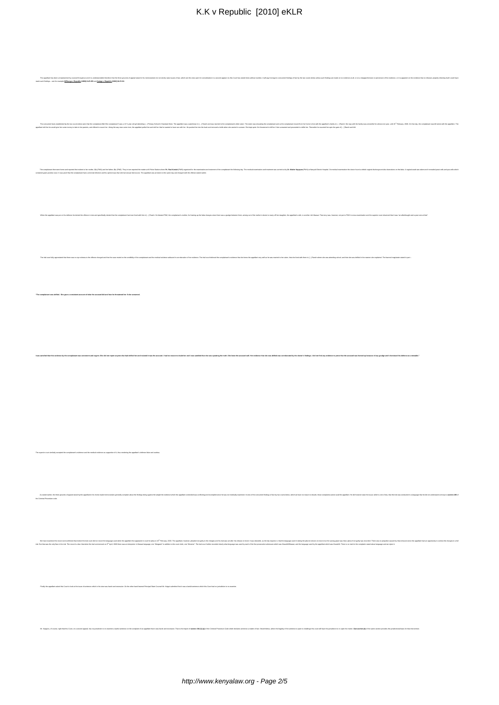| The appellant hau been compenseried by counsel froughout and it is understandin from the the the form of the content of the fire of the counter in the content of the technical materials in the content of the transfer of th                                                                                                                                                                                                                                                                                       |  |
|----------------------------------------------------------------------------------------------------------------------------------------------------------------------------------------------------------------------------------------------------------------------------------------------------------------------------------------------------------------------------------------------------------------------------------------------------------------------------------------------------------------------|--|
| is such findings - see for example <b>M Riumpu v Republic (1983) KLR 455</b> and Kaingo v Republic (1982) KLR 213.                                                                                                                                                                                                                                                                                                                                                                                                   |  |
|                                                                                                                                                                                                                                                                                                                                                                                                                                                                                                                      |  |
|                                                                                                                                                                                                                                                                                                                                                                                                                                                                                                                      |  |
|                                                                                                                                                                                                                                                                                                                                                                                                                                                                                                                      |  |
|                                                                                                                                                                                                                                                                                                                                                                                                                                                                                                                      |  |
|                                                                                                                                                                                                                                                                                                                                                                                                                                                                                                                      |  |
| The concurrent facts entablished by the ten const below was that the complainent / [Phe complainent] yas a 13 % yaw old gel aircolor face for a mater in a mater in the appelature in a material of the complaint and it and t<br>antioid far be would give ber some money to take to her parents, and offered to excort her. Along the way near some cheer, the appellant pulled her and is told here in the wanted to have asse with her. He pushed her into t                                                     |  |
|                                                                                                                                                                                                                                                                                                                                                                                                                                                                                                                      |  |
|                                                                                                                                                                                                                                                                                                                                                                                                                                                                                                                      |  |
|                                                                                                                                                                                                                                                                                                                                                                                                                                                                                                                      |  |
|                                                                                                                                                                                                                                                                                                                                                                                                                                                                                                                      |  |
|                                                                                                                                                                                                                                                                                                                                                                                                                                                                                                                      |  |
| ant then went home and reported the incident to her mother, \$.1 (PVIT) and her father, \$.1 (PVIT). They in turn reported the matter at N Police Station where PC. Paul Kardaki (PVIT) organized for the economistion and treat<br>The cor<br>ration and treatment was carried out by Dr. Walter Kayaywa (PW4) at Nanyuki District Hospital. On medical examination the doctor found a whitish vaginal discharge and also lacens<br>lons on the labia. A vaginal swab was taken and it revealed yeast cells and pus |  |
| ined gram positive cocol. It was proof that the complainant had a venereal infector and his opinion was that ahe had sexual intercourse. The appellant was arrested on the same day and changed with the offence stated earlie                                                                                                                                                                                                                                                                                       |  |
|                                                                                                                                                                                                                                                                                                                                                                                                                                                                                                                      |  |
|                                                                                                                                                                                                                                                                                                                                                                                                                                                                                                                      |  |
|                                                                                                                                                                                                                                                                                                                                                                                                                                                                                                                      |  |
|                                                                                                                                                                                                                                                                                                                                                                                                                                                                                                                      |  |
| When the appellant was put on his defence the denied the offence in into and specifically devies that the completent had ever lied at with in [] Ranch, His komed PWL?, the completenant's modes of the hard paper since th                                                                                                                                                                                                                                                                                          |  |
|                                                                                                                                                                                                                                                                                                                                                                                                                                                                                                                      |  |
|                                                                                                                                                                                                                                                                                                                                                                                                                                                                                                                      |  |
|                                                                                                                                                                                                                                                                                                                                                                                                                                                                                                                      |  |
|                                                                                                                                                                                                                                                                                                                                                                                                                                                                                                                      |  |
|                                                                                                                                                                                                                                                                                                                                                                                                                                                                                                                      |  |
| thiliy appreciated that there was no eye witness the different the distant and that content and in a medicial or the constant and the medicial middle on the constantion of the wideoca in the medical the explanative order t                                                                                                                                                                                                                                                                                       |  |
|                                                                                                                                                                                                                                                                                                                                                                                                                                                                                                                      |  |
|                                                                                                                                                                                                                                                                                                                                                                                                                                                                                                                      |  |
|                                                                                                                                                                                                                                                                                                                                                                                                                                                                                                                      |  |
|                                                                                                                                                                                                                                                                                                                                                                                                                                                                                                                      |  |
| "The complainant was defiled. She gave a consistent account of what the accused did and how he threatened her if she screamed.                                                                                                                                                                                                                                                                                                                                                                                       |  |
|                                                                                                                                                                                                                                                                                                                                                                                                                                                                                                                      |  |
|                                                                                                                                                                                                                                                                                                                                                                                                                                                                                                                      |  |
|                                                                                                                                                                                                                                                                                                                                                                                                                                                                                                                      |  |
|                                                                                                                                                                                                                                                                                                                                                                                                                                                                                                                      |  |
|                                                                                                                                                                                                                                                                                                                                                                                                                                                                                                                      |  |
|                                                                                                                                                                                                                                                                                                                                                                                                                                                                                                                      |  |
|                                                                                                                                                                                                                                                                                                                                                                                                                                                                                                                      |  |
| d coget. She did not report anyone else had deliked her and insisted it was the accused. I had no research doubt her and ivan surfailed that are surguaring the truth. She knew the accused wall. Her evidence that also corro                                                                                                                                                                                                                                                                                       |  |
|                                                                                                                                                                                                                                                                                                                                                                                                                                                                                                                      |  |
|                                                                                                                                                                                                                                                                                                                                                                                                                                                                                                                      |  |
|                                                                                                                                                                                                                                                                                                                                                                                                                                                                                                                      |  |
|                                                                                                                                                                                                                                                                                                                                                                                                                                                                                                                      |  |
|                                                                                                                                                                                                                                                                                                                                                                                                                                                                                                                      |  |
|                                                                                                                                                                                                                                                                                                                                                                                                                                                                                                                      |  |
|                                                                                                                                                                                                                                                                                                                                                                                                                                                                                                                      |  |
|                                                                                                                                                                                                                                                                                                                                                                                                                                                                                                                      |  |
|                                                                                                                                                                                                                                                                                                                                                                                                                                                                                                                      |  |
|                                                                                                                                                                                                                                                                                                                                                                                                                                                                                                                      |  |
|                                                                                                                                                                                                                                                                                                                                                                                                                                                                                                                      |  |
|                                                                                                                                                                                                                                                                                                                                                                                                                                                                                                                      |  |
|                                                                                                                                                                                                                                                                                                                                                                                                                                                                                                                      |  |
|                                                                                                                                                                                                                                                                                                                                                                                                                                                                                                                      |  |
| pled the complainant's evidence and the medical evidence as supportive of it, thus rendering the appellant's defence false and useless.                                                                                                                                                                                                                                                                                                                                                                              |  |
|                                                                                                                                                                                                                                                                                                                                                                                                                                                                                                                      |  |
|                                                                                                                                                                                                                                                                                                                                                                                                                                                                                                                      |  |
|                                                                                                                                                                                                                                                                                                                                                                                                                                                                                                                      |  |
|                                                                                                                                                                                                                                                                                                                                                                                                                                                                                                                      |  |
| As attend earlier, the tree grounds of appart intend by the appellent in its home-made memorandum generally complete about the findings begins the need to the net content of the appellent contended seas conticing and incom                                                                                                                                                                                                                                                                                       |  |
| Criminal Procedure code.                                                                                                                                                                                                                                                                                                                                                                                                                                                                                             |  |
|                                                                                                                                                                                                                                                                                                                                                                                                                                                                                                                      |  |
|                                                                                                                                                                                                                                                                                                                                                                                                                                                                                                                      |  |
|                                                                                                                                                                                                                                                                                                                                                                                                                                                                                                                      |  |
|                                                                                                                                                                                                                                                                                                                                                                                                                                                                                                                      |  |
| We have examined the record and continued that indeed that individual taid cost of the inquage used when the appape uned in appape und in February, 2006. The appaper in cost for pape and individual toware, pleaded not gali                                                                                                                                                                                                                                                                                       |  |
| rist Bat that was the oriy fine in the staff in the most is clear that when the initi commend on o <sup>4</sup> April, 2006 there was an interpretic in Massa language, one "Margang" in addition to in court clear "Manustic County sha                                                                                                                                                                                                                                                                             |  |
|                                                                                                                                                                                                                                                                                                                                                                                                                                                                                                                      |  |
|                                                                                                                                                                                                                                                                                                                                                                                                                                                                                                                      |  |
|                                                                                                                                                                                                                                                                                                                                                                                                                                                                                                                      |  |
|                                                                                                                                                                                                                                                                                                                                                                                                                                                                                                                      |  |
|                                                                                                                                                                                                                                                                                                                                                                                                                                                                                                                      |  |
| raily the appellent asked this Court to look at the issue of sentence which in his view was harsh and excessive. On the other hand learned Principal State Coursel Mr. Kaigai submitted that it was a lawful sentence which th                                                                                                                                                                                                                                                                                       |  |
|                                                                                                                                                                                                                                                                                                                                                                                                                                                                                                                      |  |
|                                                                                                                                                                                                                                                                                                                                                                                                                                                                                                                      |  |
|                                                                                                                                                                                                                                                                                                                                                                                                                                                                                                                      |  |
|                                                                                                                                                                                                                                                                                                                                                                                                                                                                                                                      |  |
| Mr. Keigei is, of course, right that this Cost, on a necost sposs), has no juitablish to e-exercise a landal annion on the complaint of an appelare that it as appelare that it as import of anciens in the import of median o                                                                                                                                                                                                                                                                                       |  |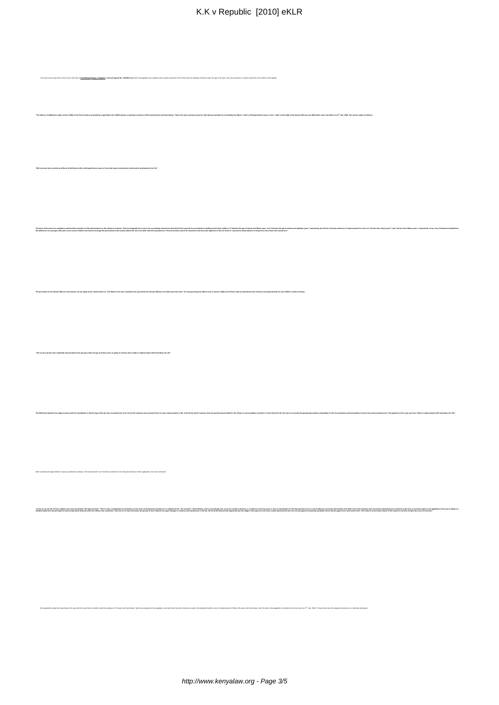| K.K v Republic [2010] eKLR                                                                                                                                                                                                                                                                                                                      |
|-------------------------------------------------------------------------------------------------------------------------------------------------------------------------------------------------------------------------------------------------------------------------------------------------------------------------------------------------|
|                                                                                                                                                                                                                                                                                                                                                 |
|                                                                                                                                                                                                                                                                                                                                                 |
|                                                                                                                                                                                                                                                                                                                                                 |
|                                                                                                                                                                                                                                                                                                                                                 |
| olic. Criminal Appeal No. 130/2007 (ur) where the appellant was charged under similar provisions of the Penal Code for d<br>the age of 16 years. We may reproduce in extenso what this Cour                                                                                                                                                     |
|                                                                                                                                                                                                                                                                                                                                                 |
| ded by Legal Notice No. 5/2003 attracts a maximum sentence of life imprisonment with hand labour. That is the same sentence (save for hard labour) provided for committing the offerce "with a child aged eleven years or less                                                                                                                  |
|                                                                                                                                                                                                                                                                                                                                                 |
|                                                                                                                                                                                                                                                                                                                                                 |
|                                                                                                                                                                                                                                                                                                                                                 |
| its an offence of defilement with a child aged eleven years or less shall upon conviction be sentenced to impriso                                                                                                                                                                                                                               |
|                                                                                                                                                                                                                                                                                                                                                 |
|                                                                                                                                                                                                                                                                                                                                                 |
|                                                                                                                                                                                                                                                                                                                                                 |
| logically be so since the succeeding materakon (2) and if y showing for pushing in the state of the second technology of the second state of the second state of the second in the second state of all conventions of all conv<br>end eighteen years" respectively provide for minimum sentences of impriso<br>nent for a term of "not less the |
|                                                                                                                                                                                                                                                                                                                                                 |
|                                                                                                                                                                                                                                                                                                                                                 |
|                                                                                                                                                                                                                                                                                                                                                 |
| a here was committed one year before the Sexual Offences Act 2006 came into force. The law governing the offence was in section 145(1) of the Penal Code as amended by the Criminal Law (Am<br>ent) Act. NO. 5/2002                                                                                                                             |
|                                                                                                                                                                                                                                                                                                                                                 |
|                                                                                                                                                                                                                                                                                                                                                 |
|                                                                                                                                                                                                                                                                                                                                                 |
| 45. (1) Any person who unlawfully and camally knows any girl under the age of sixteen years is guilty of a felony and is liable to impriso                                                                                                                                                                                                      |
|                                                                                                                                                                                                                                                                                                                                                 |
|                                                                                                                                                                                                                                                                                                                                                 |
|                                                                                                                                                                                                                                                                                                                                                 |
|                                                                                                                                                                                                                                                                                                                                                 |
| The difference between the original section and the amendent in that the section in the test in the testion is the section in the section of the section of the section is the section of the section is the section of the te                                                                                                                  |
|                                                                                                                                                                                                                                                                                                                                                 |
|                                                                                                                                                                                                                                                                                                                                                 |
|                                                                                                                                                                                                                                                                                                                                                 |
| the examining the legal debate in various jurisdictions relating to "life imprisonment" and "minimum sentences" and noting the diversity in their application, the Court continued:                                                                                                                                                             |
|                                                                                                                                                                                                                                                                                                                                                 |
| 'Ar in so my light may be a state of the man of the state of the man of the state of the state of the state of the state of the state of the state of the state of the state of the state of the state of the state of the sta                                                                                                                  |
|                                                                                                                                                                                                                                                                                                                                                 |
|                                                                                                                                                                                                                                                                                                                                                 |
|                                                                                                                                                                                                                                                                                                                                                 |
|                                                                                                                                                                                                                                                                                                                                                 |
|                                                                                                                                                                                                                                                                                                                                                 |
|                                                                                                                                                                                                                                                                                                                                                 |
| We superchily sciege it to it massing in this case with the word interest with the ancience of "25 years with hor Mobil analyzead case in the popular and coder the abstract and inperfect and in the model ancience and inte                                                                                                                   |
|                                                                                                                                                                                                                                                                                                                                                 |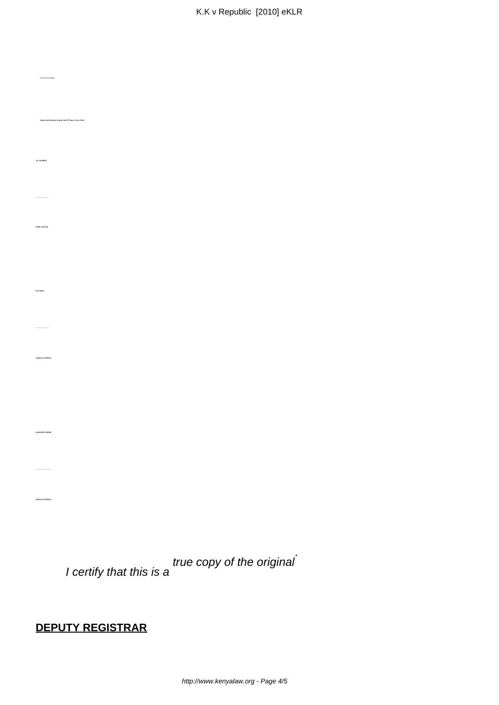I certify that this is a true copy of the original .

## **DEPUTY REGISTRAR**

Orders accordingly.

**J.E. GICHERU**

**CHIEF JUSTICE**

**P.N. WAKI**

**JUDGE OF APPEAL**

**ALNASHIR VISRAM**

**JUDGE OF APPEAL**

**Dated and delivered at Nyeri this 25th day of June, 2010**.